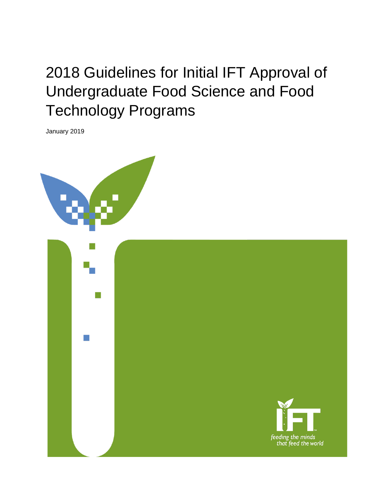# 2018 Guidelines for Initial IFT Approval of Undergraduate Food Science and Food Technology Programs

January 2019



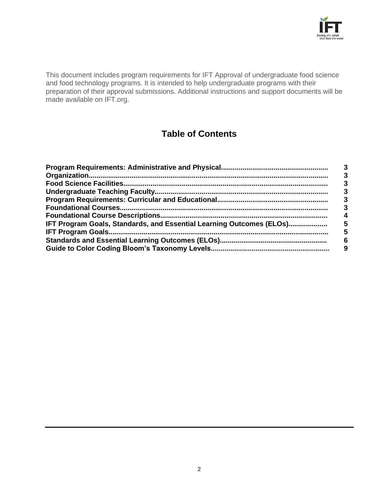

This document includes program requirements for IFT Approval of undergraduate food science and food technology programs. It is intended to help undergraduate programs with their preparation of their approval submissions. Additional instructions and support documents will be made available on IFT.org.

## **Table of Contents**

| IFT Program Goals, Standards, and Essential Learning Outcomes (ELOs) | 5 |
|----------------------------------------------------------------------|---|
|                                                                      | 5 |
|                                                                      | 6 |
|                                                                      |   |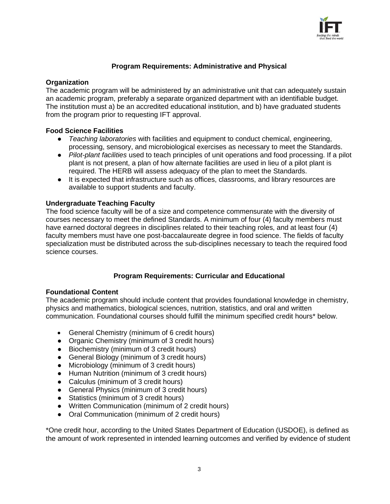

#### **Program Requirements: Administrative and Physical**

#### **Organization**

The academic program will be administered by an administrative unit that can adequately sustain an academic program, preferably a separate organized department with an identifiable budget. The institution must a) be an accredited educational institution, and b) have graduated students from the program prior to requesting IFT approval.

#### **Food Science Facilities**

- **●** *Teaching laboratories* with facilities and equipment to conduct chemical, engineering, processing, sensory, and microbiological exercises as necessary to meet the Standards.
- **●** *Pilot-plant facilities* used to teach principles of unit operations and food processing. If a pilot plant is not present, a plan of how alternate facilities are used in lieu of a pilot plant is required. The HERB will assess adequacy of the plan to meet the Standards.
- **●** It is expected that infrastructure such as offices, classrooms, and library resources are available to support students and faculty.

#### **Undergraduate Teaching Faculty**

The food science faculty will be of a size and competence commensurate with the diversity of courses necessary to meet the defined Standards. A minimum of four (4) faculty members must have earned doctoral degrees in disciplines related to their teaching roles, and at least four (4) faculty members must have one post-baccalaureate degree in food science. The fields of faculty specialization must be distributed across the sub-disciplines necessary to teach the required food science courses.

#### **Program Requirements: Curricular and Educational**

#### **Foundational Content**

The academic program should include content that provides foundational knowledge in chemistry, physics and mathematics, biological sciences, nutrition, statistics, and oral and written communication. Foundational courses should fulfill the minimum specified credit hours\* below.

- General Chemistry (minimum of 6 credit hours)
- Organic Chemistry (minimum of 3 credit hours)
- Biochemistry (minimum of 3 credit hours)
- General Biology (minimum of 3 credit hours)
- Microbiology (minimum of 3 credit hours)
- Human Nutrition (minimum of 3 credit hours)
- Calculus (minimum of 3 credit hours)
- General Physics (minimum of 3 credit hours)
- Statistics (minimum of 3 credit hours)
- Written Communication (minimum of 2 credit hours)
- Oral Communication (minimum of 2 credit hours)

\*One credit hour, according to the United States Department of Education (USDOE), is defined as the amount of work represented in intended learning outcomes and verified by evidence of student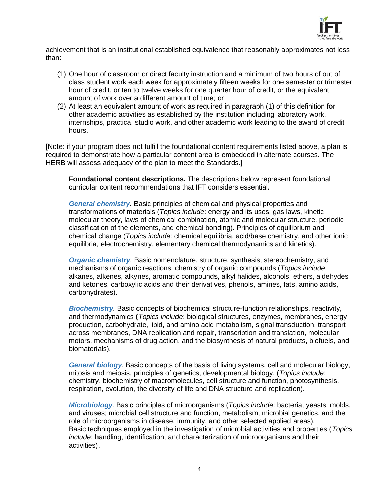

achievement that is an institutional established equivalence that reasonably approximates not less than:

- (1) One hour of classroom or direct faculty instruction and a minimum of two hours of out of class student work each week for approximately fifteen weeks for one semester or trimester hour of credit, or ten to twelve weeks for one quarter hour of credit, or the equivalent amount of work over a different amount of time; or
- (2) At least an equivalent amount of work as required in paragraph (1) of this definition for other academic activities as established by the institution including laboratory work, internships, practica, studio work, and other academic work leading to the award of credit hours.

[Note: if your program does not fulfill the foundational content requirements listed above, a plan is required to demonstrate how a particular content area is embedded in alternate courses. The HERB will assess adequacy of the plan to meet the Standards.]

**Foundational content descriptions.** The descriptions below represent foundational curricular content recommendations that IFT considers essential.

*General chemistry.* Basic principles of chemical and physical properties and transformations of materials (*Topics include*: energy and its uses, gas laws, kinetic molecular theory, laws of chemical combination, atomic and molecular structure, periodic classification of the elements, and chemical bonding). Principles of equilibrium and chemical change (*Topics include*: chemical equilibria, acid/base chemistry, and other ionic equilibria, electrochemistry, elementary chemical thermodynamics and kinetics).

*Organic chemistry.* Basic nomenclature, structure, synthesis, stereochemistry, and mechanisms of organic reactions, chemistry of organic compounds (*Topics include*: alkanes, alkenes, alkynes, aromatic compounds, alkyl halides, alcohols, ethers, aldehydes and ketones, carboxylic acids and their derivatives, phenols, amines, fats, amino acids, carbohydrates).

*Biochemistry.* Basic concepts of biochemical structure-function relationships, reactivity, and thermodynamics (*Topics include*: biological structures, enzymes, membranes, energy production, carbohydrate, lipid, and amino acid metabolism, signal transduction, transport across membranes, DNA replication and repair, transcription and translation, molecular motors, mechanisms of drug action, and the biosynthesis of natural products, biofuels, and biomaterials).

*General biology.* Basic concepts of the basis of living systems, cell and molecular biology, mitosis and meiosis, principles of genetics, developmental biology. (*Topics include*: chemistry, biochemistry of macromolecules, cell structure and function, photosynthesis, respiration, evolution, the diversity of life and DNA structure and replication).

*Microbiology.* Basic principles of microorganisms (*Topics include*: bacteria, yeasts, molds, and viruses; microbial cell structure and function, metabolism, microbial genetics, and the role of microorganisms in disease, immunity, and other selected applied areas). Basic techniques employed in the investigation of microbial activities and properties (*Topics include*: handling, identification, and characterization of microorganisms and their activities).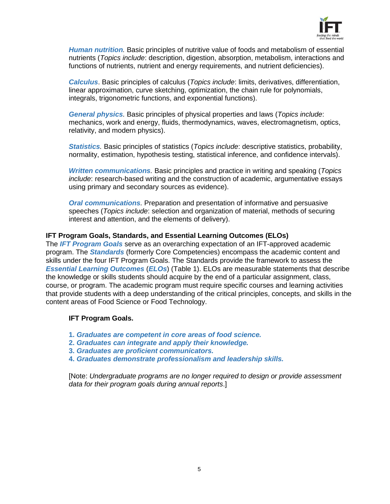

*Human nutrition.* Basic principles of nutritive value of foods and metabolism of essential nutrients (*Topics include*: description, digestion, absorption, metabolism, interactions and functions of nutrients, nutrient and energy requirements, and nutrient deficiencies).

*Calculus*. Basic principles of calculus (*Topics include*: limits, derivatives, differentiation, linear approximation, curve sketching, optimization, the chain rule for polynomials, integrals, trigonometric functions, and exponential functions).

*General physics.* Basic principles of physical properties and laws (*Topics include*: mechanics, work and energy, fluids, thermodynamics, waves, electromagnetism, optics, relativity, and modern physics).

*Statistics.* Basic principles of statistics (*Topics include*: descriptive statistics, probability, normality, estimation, hypothesis testing, statistical inference, and confidence intervals).

*Written communications.* Basic principles and practice in writing and speaking (*Topics include*: research-based writing and the construction of academic, argumentative essays using primary and secondary sources as evidence).

*Oral communications.* Preparation and presentation of informative and persuasive speeches (*Topics include*: selection and organization of material, methods of securing interest and attention, and the elements of delivery).

#### **IFT Program Goals, Standards, and Essential Learning Outcomes (ELOs)**

The *IFT Program Goals* serve as an overarching expectation of an IFT-approved academic program. The *Standards* (formerly Core Competencies) encompass the academic content and skills under the four IFT Program Goals. The Standards provide the framework to assess the *Essential Learning Outcomes* (*ELOs*) (Table 1). ELOs are measurable statements that describe the knowledge or skills students should acquire by the end of a particular assignment, class, course, or program. The academic program must require specific courses and learning activities that provide students with a deep understanding of the critical principles, concepts, and skills in the content areas of Food Science or Food Technology.

#### **IFT Program Goals.**

- **1.** *Graduates are competent in core areas of food science.*
- **2.** *Graduates can integrate and apply their knowledge.*
- **3.** *Graduates are proficient communicators.*
- **4.** *Graduates demonstrate professionalism and leadership skills.*

[Note: *Undergraduate programs are no longer required to design or provide assessment data for their program goals during annual reports*.]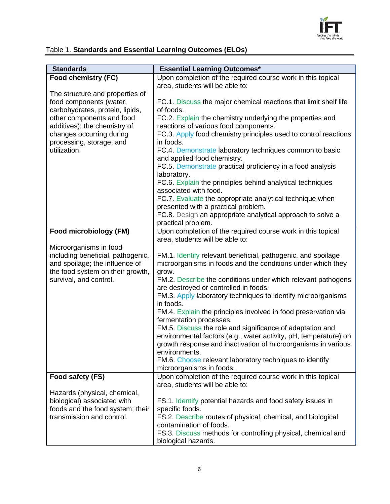

### Table 1. **Standards and Essential Learning Outcomes (ELOs)**

| <b>Standards</b>                                            | <b>Essential Learning Outcomes*</b>                                                                      |
|-------------------------------------------------------------|----------------------------------------------------------------------------------------------------------|
| Food chemistry (FC)                                         | Upon completion of the required course work in this topical                                              |
|                                                             | area, students will be able to:                                                                          |
| The structure and properties of                             |                                                                                                          |
| food components (water,                                     | FC.1. Discuss the major chemical reactions that limit shelf life                                         |
| carbohydrates, protein, lipids,                             | of foods.                                                                                                |
| other components and food                                   | FC.2. Explain the chemistry underlying the properties and                                                |
| additives); the chemistry of<br>changes occurring during    | reactions of various food components.<br>FC.3. Apply food chemistry principles used to control reactions |
| processing, storage, and                                    | in foods.                                                                                                |
| utilization.                                                | FC.4. Demonstrate laboratory techniques common to basic                                                  |
|                                                             | and applied food chemistry.                                                                              |
|                                                             | FC.5. Demonstrate practical proficiency in a food analysis                                               |
|                                                             | laboratory.                                                                                              |
|                                                             | FC.6. Explain the principles behind analytical techniques                                                |
|                                                             | associated with food.                                                                                    |
|                                                             | FC.7. Evaluate the appropriate analytical technique when                                                 |
|                                                             | presented with a practical problem.                                                                      |
|                                                             | FC.8. Design an appropriate analytical approach to solve a                                               |
| Food microbiology (FM)                                      | practical problem.<br>Upon completion of the required course work in this topical                        |
|                                                             | area, students will be able to:                                                                          |
| Microorganisms in food                                      |                                                                                                          |
| including beneficial, pathogenic,                           | FM.1. Identify relevant beneficial, pathogenic, and spoilage                                             |
| and spoilage; the influence of                              | microorganisms in foods and the conditions under which they                                              |
| the food system on their growth,                            | grow.                                                                                                    |
| survival, and control.                                      | FM.2. Describe the conditions under which relevant pathogens                                             |
|                                                             | are destroyed or controlled in foods.                                                                    |
|                                                             | FM.3. Apply laboratory techniques to identify microorganisms                                             |
|                                                             | in foods.<br>FM.4. Explain the principles involved in food preservation via                              |
|                                                             | fermentation processes.                                                                                  |
|                                                             | FM.5. Discuss the role and significance of adaptation and                                                |
|                                                             | environmental factors (e.g., water activity, pH, temperature) on                                         |
|                                                             | growth response and inactivation of microorganisms in various                                            |
|                                                             | environments.                                                                                            |
|                                                             | FM.6. Choose relevant laboratory techniques to identify                                                  |
|                                                             | microorganisms in foods.                                                                                 |
| Food safety (FS)                                            | Upon completion of the required course work in this topical                                              |
|                                                             | area, students will be able to:                                                                          |
| Hazards (physical, chemical,<br>biological) associated with | FS.1. Identify potential hazards and food safety issues in                                               |
| foods and the food system; their                            | specific foods.                                                                                          |
| transmission and control.                                   | FS.2. Describe routes of physical, chemical, and biological                                              |
|                                                             | contamination of foods.                                                                                  |
|                                                             | FS.3. Discuss methods for controlling physical, chemical and                                             |
|                                                             | biological hazards.                                                                                      |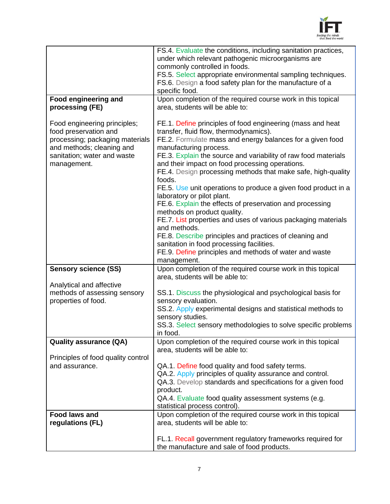

|                                                                                                                                                                     | FS.4. Evaluate the conditions, including sanitation practices,                                                                                                                                                                                                                                                                                                                                                                                                                                                                                                                                                                                                                                                                                                                 |
|---------------------------------------------------------------------------------------------------------------------------------------------------------------------|--------------------------------------------------------------------------------------------------------------------------------------------------------------------------------------------------------------------------------------------------------------------------------------------------------------------------------------------------------------------------------------------------------------------------------------------------------------------------------------------------------------------------------------------------------------------------------------------------------------------------------------------------------------------------------------------------------------------------------------------------------------------------------|
|                                                                                                                                                                     | under which relevant pathogenic microorganisms are                                                                                                                                                                                                                                                                                                                                                                                                                                                                                                                                                                                                                                                                                                                             |
|                                                                                                                                                                     | commonly controlled in foods.<br>FS.5. Select appropriate environmental sampling techniques.                                                                                                                                                                                                                                                                                                                                                                                                                                                                                                                                                                                                                                                                                   |
|                                                                                                                                                                     | FS.6. Design a food safety plan for the manufacture of a                                                                                                                                                                                                                                                                                                                                                                                                                                                                                                                                                                                                                                                                                                                       |
|                                                                                                                                                                     | specific food.                                                                                                                                                                                                                                                                                                                                                                                                                                                                                                                                                                                                                                                                                                                                                                 |
| <b>Food engineering and</b>                                                                                                                                         | Upon completion of the required course work in this topical                                                                                                                                                                                                                                                                                                                                                                                                                                                                                                                                                                                                                                                                                                                    |
| processing (FE)                                                                                                                                                     | area, students will be able to:                                                                                                                                                                                                                                                                                                                                                                                                                                                                                                                                                                                                                                                                                                                                                |
| Food engineering principles;<br>food preservation and<br>processing; packaging materials<br>and methods; cleaning and<br>sanitation; water and waste<br>management. | FE.1. Define principles of food engineering (mass and heat<br>transfer, fluid flow, thermodynamics).<br>FE.2. Formulate mass and energy balances for a given food<br>manufacturing process.<br>FE.3. Explain the source and variability of raw food materials<br>and their impact on food processing operations.<br>FE.4. Design processing methods that make safe, high-quality<br>foods.<br>FE.5. Use unit operations to produce a given food product in a<br>laboratory or pilot plant.<br>FE.6. Explain the effects of preservation and processing<br>methods on product quality.<br>FE.7. List properties and uses of various packaging materials<br>and methods.<br>FE.8. Describe principles and practices of cleaning and<br>sanitation in food processing facilities. |
|                                                                                                                                                                     | FE.9. Define principles and methods of water and waste                                                                                                                                                                                                                                                                                                                                                                                                                                                                                                                                                                                                                                                                                                                         |
|                                                                                                                                                                     | management.                                                                                                                                                                                                                                                                                                                                                                                                                                                                                                                                                                                                                                                                                                                                                                    |
| <b>Sensory science (SS)</b>                                                                                                                                         | Upon completion of the required course work in this topical<br>area, students will be able to:                                                                                                                                                                                                                                                                                                                                                                                                                                                                                                                                                                                                                                                                                 |
| Analytical and affective<br>methods of assessing sensory                                                                                                            | SS.1. Discuss the physiological and psychological basis for                                                                                                                                                                                                                                                                                                                                                                                                                                                                                                                                                                                                                                                                                                                    |
| properties of food.                                                                                                                                                 | sensory evaluation.                                                                                                                                                                                                                                                                                                                                                                                                                                                                                                                                                                                                                                                                                                                                                            |
|                                                                                                                                                                     | SS.2. Apply experimental designs and statistical methods to<br>sensory studies.                                                                                                                                                                                                                                                                                                                                                                                                                                                                                                                                                                                                                                                                                                |
|                                                                                                                                                                     | SS.3. Select sensory methodologies to solve specific problems<br>in food.                                                                                                                                                                                                                                                                                                                                                                                                                                                                                                                                                                                                                                                                                                      |
| <b>Quality assurance (QA)</b>                                                                                                                                       | Upon completion of the required course work in this topical                                                                                                                                                                                                                                                                                                                                                                                                                                                                                                                                                                                                                                                                                                                    |
|                                                                                                                                                                     | area, students will be able to:                                                                                                                                                                                                                                                                                                                                                                                                                                                                                                                                                                                                                                                                                                                                                |
| Principles of food quality control<br>and assurance.                                                                                                                |                                                                                                                                                                                                                                                                                                                                                                                                                                                                                                                                                                                                                                                                                                                                                                                |
|                                                                                                                                                                     | QA.1. Define food quality and food safety terms.<br>QA.2. Apply principles of quality assurance and control.                                                                                                                                                                                                                                                                                                                                                                                                                                                                                                                                                                                                                                                                   |
|                                                                                                                                                                     | QA.3. Develop standards and specifications for a given food                                                                                                                                                                                                                                                                                                                                                                                                                                                                                                                                                                                                                                                                                                                    |
|                                                                                                                                                                     | product.                                                                                                                                                                                                                                                                                                                                                                                                                                                                                                                                                                                                                                                                                                                                                                       |
|                                                                                                                                                                     | QA.4. Evaluate food quality assessment systems (e.g.                                                                                                                                                                                                                                                                                                                                                                                                                                                                                                                                                                                                                                                                                                                           |
|                                                                                                                                                                     | statistical process control).                                                                                                                                                                                                                                                                                                                                                                                                                                                                                                                                                                                                                                                                                                                                                  |
| <b>Food laws and</b><br>regulations (FL)                                                                                                                            | Upon completion of the required course work in this topical<br>area, students will be able to:                                                                                                                                                                                                                                                                                                                                                                                                                                                                                                                                                                                                                                                                                 |
|                                                                                                                                                                     | FL.1. Recall government regulatory frameworks required for<br>the manufacture and sale of food products.                                                                                                                                                                                                                                                                                                                                                                                                                                                                                                                                                                                                                                                                       |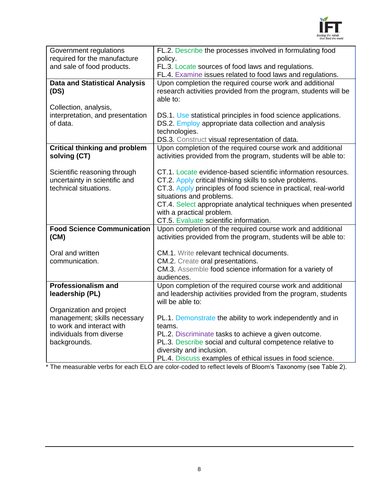

| Government regulations                       | FL.2. Describe the processes involved in formulating food              |
|----------------------------------------------|------------------------------------------------------------------------|
| required for the manufacture                 | policy.                                                                |
| and sale of food products.                   | FL.3. Locate sources of food laws and regulations.                     |
|                                              | FL.4. Examine issues related to food laws and regulations.             |
| <b>Data and Statistical Analysis</b>         | Upon completion the required course work and additional                |
| (DS)                                         | research activities provided from the program, students will be        |
|                                              | able to:                                                               |
| Collection, analysis,                        |                                                                        |
| interpretation, and presentation<br>of data. | DS.1. Use statistical principles in food science applications.         |
|                                              | DS.2. Employ appropriate data collection and analysis<br>technologies. |
|                                              | DS.3. Construct visual representation of data.                         |
| <b>Critical thinking and problem</b>         | Upon completion of the required course work and additional             |
| solving (CT)                                 | activities provided from the program, students will be able to:        |
|                                              |                                                                        |
| Scientific reasoning through                 | CT.1. Locate evidence-based scientific information resources.          |
| uncertainty in scientific and                | CT.2. Apply critical thinking skills to solve problems.                |
| technical situations.                        | CT.3. Apply principles of food science in practical, real-world        |
|                                              | situations and problems.                                               |
|                                              | CT.4. Select appropriate analytical techniques when presented          |
|                                              | with a practical problem.                                              |
|                                              | CT.5. Evaluate scientific information.                                 |
| <b>Food Science Communication</b>            | Upon completion of the required course work and additional             |
| (CM)                                         | activities provided from the program, students will be able to:        |
| Oral and written                             | CM.1. Write relevant technical documents.                              |
| communication.                               | CM.2. Create oral presentations.                                       |
|                                              | CM.3. Assemble food science information for a variety of               |
|                                              | audiences.                                                             |
| <b>Professionalism and</b>                   | Upon completion of the required course work and additional             |
| leadership (PL)                              | and leadership activities provided from the program, students          |
|                                              | will be able to:                                                       |
| Organization and project                     |                                                                        |
| management; skills necessary                 | PL.1. Demonstrate the ability to work independently and in             |
| to work and interact with                    | teams.                                                                 |
| individuals from diverse                     | PL.2. Discriminate tasks to achieve a given outcome.                   |
| backgrounds.                                 | PL.3. Describe social and cultural competence relative to              |
|                                              | diversity and inclusion.                                               |
|                                              | PL.4. Discuss examples of ethical issues in food science.              |

\* The measurable verbs for each ELO are color-coded to reflect levels of Bloom's Taxonomy (see Table 2).